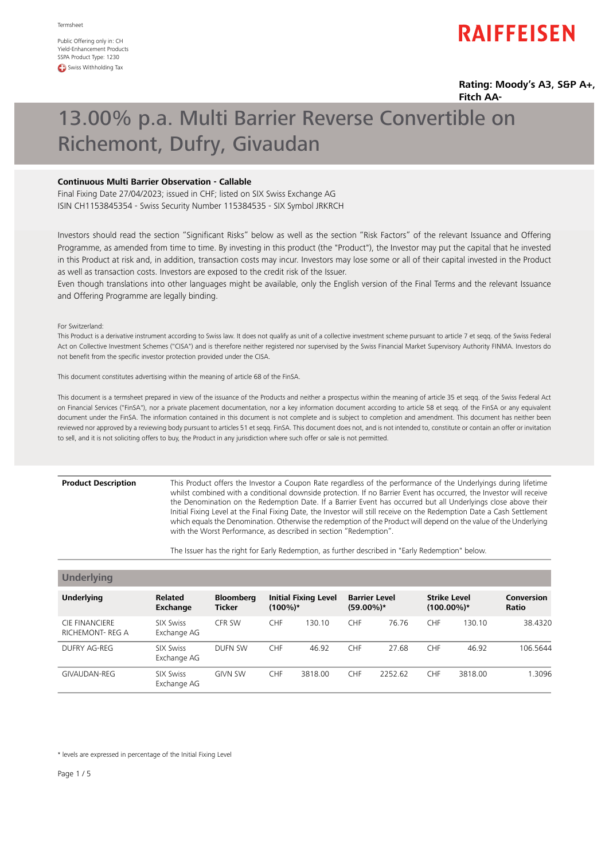Public Offering only in: CH Yield-Enhancement Products SSPA Product Type: 1230 **CD** Swiss Withholding Tax

# **RAIFFEISEN**

### **Rating: Moody's A3, S&P A+, Fitch AA-**

# 13.00% p.a. Multi Barrier Reverse Convertible on Richemont, Dufry, Givaudan

## **Continuous Multi Barrier Observation - Callable**

Final Fixing Date 27/04/2023; issued in CHF; listed on SIX Swiss Exchange AG ISIN CH1153845354 - Swiss Security Number 115384535 - SIX Symbol JRKRCH

Investors should read the section "Significant Risks" below as well as the section "Risk Factors" of the relevant Issuance and Offering Programme, as amended from time to time. By investing in this product (the "Product"), the Investor may put the capital that he invested in this Product at risk and, in addition, transaction costs may incur. Investors may lose some or all of their capital invested in the Product as well as transaction costs. Investors are exposed to the credit risk of the Issuer.

Even though translations into other languages might be available, only the English version of the Final Terms and the relevant Issuance and Offering Programme are legally binding.

For Switzerland:

This Product is a derivative instrument according to Swiss law. It does not qualify as unit of a collective investment scheme pursuant to article 7 et seqq. of the Swiss Federal Act on Collective Investment Schemes ("CISA") and is therefore neither registered nor supervised by the Swiss Financial Market Supervisory Authority FINMA. Investors do not benefit from the specific investor protection provided under the CISA.

This document constitutes advertising within the meaning of article 68 of the FinSA.

This document is a termsheet prepared in view of the issuance of the Products and neither a prospectus within the meaning of article 35 et seqq. of the Swiss Federal Act on Financial Services ("FinSA"), nor a private placement documentation, nor a key information document according to article 58 et seqq. of the FinSA or any equivalent document under the FinSA. The information contained in this document is not complete and is subject to completion and amendment. This document has neither been reviewed nor approved by a reviewing body pursuant to articles 51 et seqq. FinSA. This document does not, and is not intended to, constitute or contain an offer or invitation to sell, and it is not soliciting offers to buy, the Product in any jurisdiction where such offer or sale is not permitted.

### **Product Description**

This Product offers the Investor a Coupon Rate regardless of the performance of the Underlyings during lifetime whilst combined with a conditional downside protection. If no Barrier Event has occurred, the Investor will receive the Denomination on the Redemption Date. If a Barrier Event has occurred but all Underlyings close above their Initial Fixing Level at the Final Fixing Date, the Investor will still receive on the Redemption Date a Cash Settlement which equals the Denomination. Otherwise the redemption of the Product will depend on the value of the Underlying with the Worst Performance, as described in section "Redemption".

The Issuer has the right for Early Redemption, as further described in "Early Redemption" below.

| <b>Underlying</b>                               |                                 |                                   |                                           |         |                                      |         |                                      |         |                     |
|-------------------------------------------------|---------------------------------|-----------------------------------|-------------------------------------------|---------|--------------------------------------|---------|--------------------------------------|---------|---------------------|
| <b>Underlying</b>                               | <b>Related</b><br>Exchange      | <b>Bloomberg</b><br><b>Ticker</b> | <b>Initial Fixing Level</b><br>$(100\%)*$ |         | <b>Barrier Level</b><br>$(59.00\%)*$ |         | <b>Strike Level</b><br>$(100.00\%)*$ |         | Conversion<br>Ratio |
| <b>CIE FINANCIERE</b><br><b>RICHEMONT-REG A</b> | <b>SIX Swiss</b><br>Exchange AG | CFR SW                            | <b>CHF</b>                                | 130.10  | <b>CHF</b>                           | 76.76   | <b>CHF</b>                           | 130.10  | 38.4320             |
| DUFRY AG-REG                                    | SIX Swiss<br>Exchange AG        | DUFN SW                           | <b>CHF</b>                                | 46.92   | <b>CHF</b>                           | 27.68   | <b>CHF</b>                           | 46.92   | 106.5644            |
| GIVAUDAN-REG                                    | <b>SIX Swiss</b><br>Exchange AG | <b>GIVN SW</b>                    | <b>CHF</b>                                | 3818.00 | <b>CHF</b>                           | 2252.62 | <b>CHF</b>                           | 3818.00 | 1.3096              |

\* levels are expressed in percentage of the Initial Fixing Level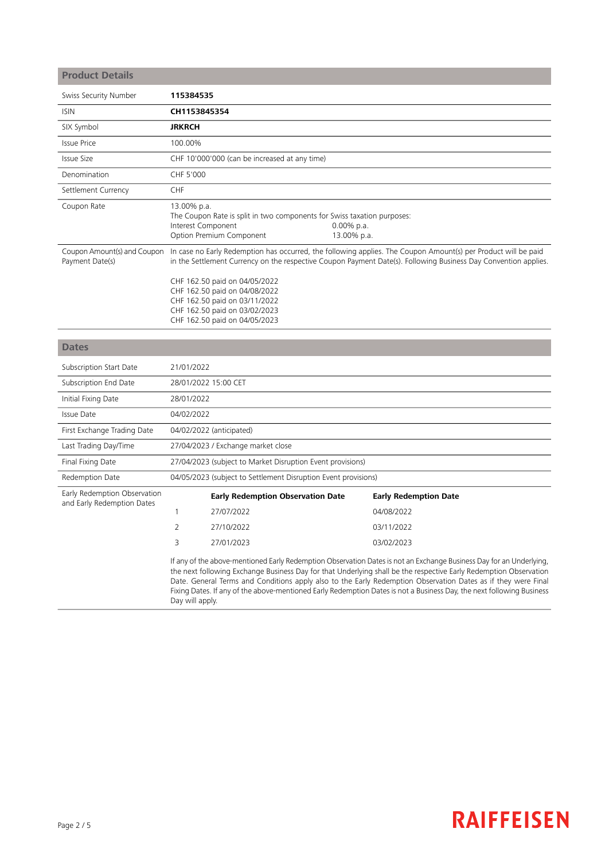# **Product Details**

| Swiss Security Number                          | 115384535                                                                                                                                                                                                                                                                                                                                                                                              |
|------------------------------------------------|--------------------------------------------------------------------------------------------------------------------------------------------------------------------------------------------------------------------------------------------------------------------------------------------------------------------------------------------------------------------------------------------------------|
| <b>ISIN</b>                                    | CH1153845354                                                                                                                                                                                                                                                                                                                                                                                           |
| SIX Symbol                                     | <b>JRKRCH</b>                                                                                                                                                                                                                                                                                                                                                                                          |
| <b>Issue Price</b>                             | 100.00%                                                                                                                                                                                                                                                                                                                                                                                                |
| <b>Issue Size</b>                              | CHF 10'000'000 (can be increased at any time)                                                                                                                                                                                                                                                                                                                                                          |
| Denomination                                   | CHF 5'000                                                                                                                                                                                                                                                                                                                                                                                              |
| Settlement Currency                            | <b>CHF</b>                                                                                                                                                                                                                                                                                                                                                                                             |
| Coupon Rate                                    | 13.00% p.a.<br>The Coupon Rate is split in two components for Swiss taxation purposes:<br>Interest Component<br>$0.00\%$ p.a.<br>Option Premium Component<br>13.00% p.a.                                                                                                                                                                                                                               |
| Coupon Amount(s) and Coupon<br>Payment Date(s) | In case no Early Redemption has occurred, the following applies. The Coupon Amount(s) per Product will be paid<br>in the Settlement Currency on the respective Coupon Payment Date(s). Following Business Day Convention applies.<br>CHF 162.50 paid on 04/05/2022<br>CHF 162.50 paid on 04/08/2022<br>CHF 162.50 paid on 03/11/2022<br>CHF 162.50 paid on 03/02/2023<br>CHF 162.50 paid on 04/05/2023 |
| <b>Dates</b>                                   |                                                                                                                                                                                                                                                                                                                                                                                                        |
| Subscription Start Date                        | 21/01/2022                                                                                                                                                                                                                                                                                                                                                                                             |
| Subscription End Date                          | 28/01/2022 15:00 CET                                                                                                                                                                                                                                                                                                                                                                                   |
| Initial Fixing Date                            | 28/01/2022                                                                                                                                                                                                                                                                                                                                                                                             |
| Issue Date                                     | 04/02/2022                                                                                                                                                                                                                                                                                                                                                                                             |
| First Exchange Trading Date                    | 04/02/2022 (anticipated)                                                                                                                                                                                                                                                                                                                                                                               |
| Last Trading Day/Time                          | 27/04/2023 / Exchange market close                                                                                                                                                                                                                                                                                                                                                                     |
| Final Fixing Date                              | 27/04/2023 (subject to Market Disruption Event provisions)                                                                                                                                                                                                                                                                                                                                             |

Redemption Date 04/05/2023 (subject to Settlement Disruption Event provisions)

**Early Redemption Observation Date Early Redemption Date** Early Redemption Observation and Early Redemption Dates 1 27/07/2022 04/08/2022 2 27/10/2022 03/11/2022 3 27/01/2023 03/02/2023

> If any of the above-mentioned Early Redemption Observation Dates is not an Exchange Business Day for an Underlying, the next following Exchange Business Day for that Underlying shall be the respective Early Redemption Observation Date. General Terms and Conditions apply also to the Early Redemption Observation Dates as if they were Final Fixing Dates. If any of the above-mentioned Early Redemption Dates is not a Business Day, the next following Business Day will apply.

# **RAIFFEISEN**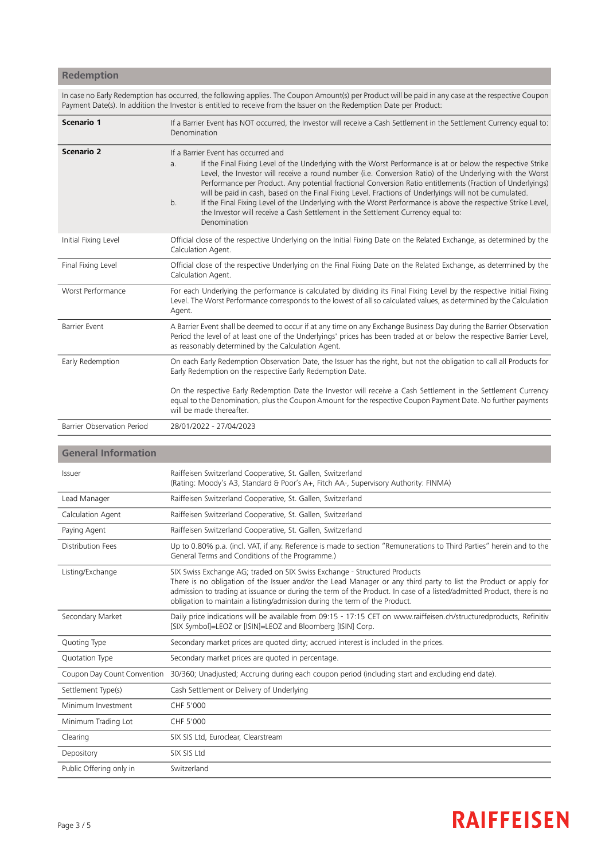## **Redemption**

In case no Early Redemption has occurred, the following applies. The Coupon Amount(s) per Product will be paid in any case at the respective Coupon Payment Date(s). In addition the Investor is entitled to receive from the Issuer on the Redemption Date per Product:

| Scenario 1                        | If a Barrier Event has NOT occurred, the Investor will receive a Cash Settlement in the Settlement Currency equal to:<br>Denomination                                                                                                                                                                                                                                                                                                                                                                                                                                                                                                                                                                                                         |  |
|-----------------------------------|-----------------------------------------------------------------------------------------------------------------------------------------------------------------------------------------------------------------------------------------------------------------------------------------------------------------------------------------------------------------------------------------------------------------------------------------------------------------------------------------------------------------------------------------------------------------------------------------------------------------------------------------------------------------------------------------------------------------------------------------------|--|
| <b>Scenario 2</b>                 | If a Barrier Event has occurred and<br>If the Final Fixing Level of the Underlying with the Worst Performance is at or below the respective Strike<br>a <sub>r</sub><br>Level, the Investor will receive a round number (i.e. Conversion Ratio) of the Underlying with the Worst<br>Performance per Product. Any potential fractional Conversion Ratio entitlements (Fraction of Underlyings)<br>will be paid in cash, based on the Final Fixing Level. Fractions of Underlyings will not be cumulated.<br>If the Final Fixing Level of the Underlying with the Worst Performance is above the respective Strike Level,<br>b <sub>1</sub><br>the Investor will receive a Cash Settlement in the Settlement Currency equal to:<br>Denomination |  |
| Initial Fixing Level              | Official close of the respective Underlying on the Initial Fixing Date on the Related Exchange, as determined by the<br>Calculation Agent.                                                                                                                                                                                                                                                                                                                                                                                                                                                                                                                                                                                                    |  |
| Final Fixing Level                | Official close of the respective Underlying on the Final Fixing Date on the Related Exchange, as determined by the<br>Calculation Agent.                                                                                                                                                                                                                                                                                                                                                                                                                                                                                                                                                                                                      |  |
| Worst Performance                 | For each Underlying the performance is calculated by dividing its Final Fixing Level by the respective Initial Fixing<br>Level. The Worst Performance corresponds to the lowest of all so calculated values, as determined by the Calculation<br>Agent.                                                                                                                                                                                                                                                                                                                                                                                                                                                                                       |  |
| <b>Barrier Event</b>              | A Barrier Event shall be deemed to occur if at any time on any Exchange Business Day during the Barrier Observation<br>Period the level of at least one of the Underlyings' prices has been traded at or below the respective Barrier Level,<br>as reasonably determined by the Calculation Agent.                                                                                                                                                                                                                                                                                                                                                                                                                                            |  |
| Early Redemption                  | On each Early Redemption Observation Date, the Issuer has the right, but not the obligation to call all Products for<br>Early Redemption on the respective Early Redemption Date.                                                                                                                                                                                                                                                                                                                                                                                                                                                                                                                                                             |  |
|                                   | On the respective Early Redemption Date the Investor will receive a Cash Settlement in the Settlement Currency<br>equal to the Denomination, plus the Coupon Amount for the respective Coupon Payment Date. No further payments<br>will be made thereafter.                                                                                                                                                                                                                                                                                                                                                                                                                                                                                   |  |
| <b>Barrier Observation Period</b> | 28/01/2022 - 27/04/2023                                                                                                                                                                                                                                                                                                                                                                                                                                                                                                                                                                                                                                                                                                                       |  |

## **General Information**

| Issuer                      | Raiffeisen Switzerland Cooperative, St. Gallen, Switzerland<br>(Rating: Moody's A3, Standard & Poor's A+, Fitch AA-, Supervisory Authority: FINMA)                                                                                                                                                                                                                                                   |
|-----------------------------|------------------------------------------------------------------------------------------------------------------------------------------------------------------------------------------------------------------------------------------------------------------------------------------------------------------------------------------------------------------------------------------------------|
| Lead Manager                | Raiffeisen Switzerland Cooperative, St. Gallen, Switzerland                                                                                                                                                                                                                                                                                                                                          |
| Calculation Agent           | Raiffeisen Switzerland Cooperative, St. Gallen, Switzerland                                                                                                                                                                                                                                                                                                                                          |
| Paying Agent                | Raiffeisen Switzerland Cooperative, St. Gallen, Switzerland                                                                                                                                                                                                                                                                                                                                          |
| Distribution Fees           | Up to 0.80% p.a. (incl. VAT, if any. Reference is made to section "Remunerations to Third Parties" herein and to the<br>General Terms and Conditions of the Programme.)                                                                                                                                                                                                                              |
| Listing/Exchange            | SIX Swiss Exchange AG; traded on SIX Swiss Exchange - Structured Products<br>There is no obligation of the Issuer and/or the Lead Manager or any third party to list the Product or apply for<br>admission to trading at issuance or during the term of the Product. In case of a listed/admitted Product, there is no<br>obligation to maintain a listing/admission during the term of the Product. |
| Secondary Market            | Daily price indications will be available from 09:15 - 17:15 CET on www.raiffeisen.ch/structuredproducts, Refinitiv<br>[SIX Symbol]=LEOZ or [ISIN]=LEOZ and Bloomberg [ISIN] Corp.                                                                                                                                                                                                                   |
| Quoting Type                | Secondary market prices are quoted dirty; accrued interest is included in the prices.                                                                                                                                                                                                                                                                                                                |
| Quotation Type              | Secondary market prices are quoted in percentage.                                                                                                                                                                                                                                                                                                                                                    |
| Coupon Day Count Convention | 30/360; Unadjusted; Accruing during each coupon period (including start and excluding end date).                                                                                                                                                                                                                                                                                                     |
| Settlement Type(s)          | Cash Settlement or Delivery of Underlying                                                                                                                                                                                                                                                                                                                                                            |
| Minimum Investment          | CHF 5'000                                                                                                                                                                                                                                                                                                                                                                                            |
| Minimum Trading Lot         | CHF 5'000                                                                                                                                                                                                                                                                                                                                                                                            |
| Clearing                    | SIX SIS Ltd, Euroclear, Clearstream                                                                                                                                                                                                                                                                                                                                                                  |
| Depository                  | SIX SIS Ltd                                                                                                                                                                                                                                                                                                                                                                                          |
| Public Offering only in     | Switzerland                                                                                                                                                                                                                                                                                                                                                                                          |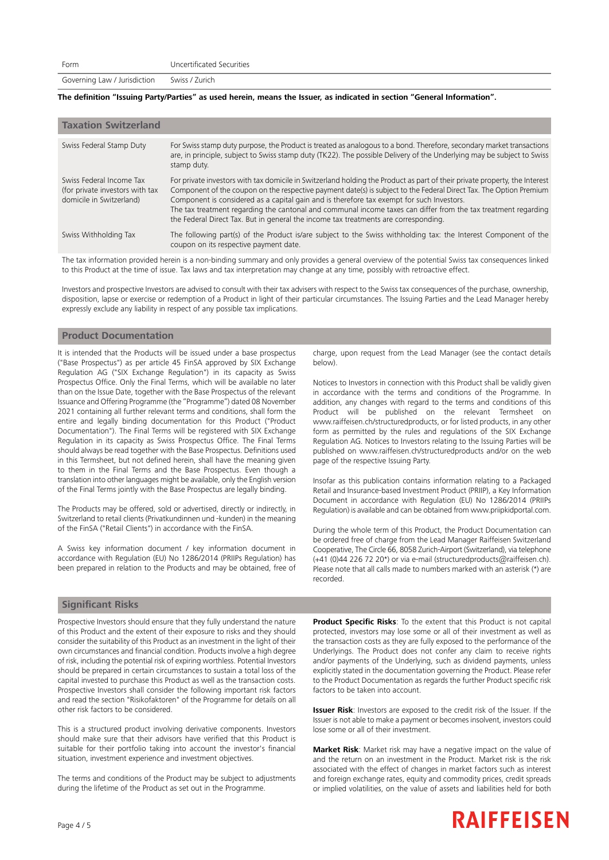Governing Law / Jurisdiction Swiss / Zurich

#### The definition "Issuing Party/Parties" as used herein, means the Issuer, as indicated in section "General Information".

| <b>Taxation Switzerland</b>                                                             |                                                                                                                                                                                                                                                                                                                                                                                                                                                                                                                                                        |
|-----------------------------------------------------------------------------------------|--------------------------------------------------------------------------------------------------------------------------------------------------------------------------------------------------------------------------------------------------------------------------------------------------------------------------------------------------------------------------------------------------------------------------------------------------------------------------------------------------------------------------------------------------------|
| Swiss Federal Stamp Duty                                                                | For Swiss stamp duty purpose, the Product is treated as analogous to a bond. Therefore, secondary market transactions<br>are, in principle, subject to Swiss stamp duty (TK22). The possible Delivery of the Underlying may be subject to Swiss<br>stamp duty.                                                                                                                                                                                                                                                                                         |
| Swiss Federal Income Tax<br>(for private investors with tax<br>domicile in Switzerland) | For private investors with tax domicile in Switzerland holding the Product as part of their private property, the Interest<br>Component of the coupon on the respective payment date(s) is subject to the Federal Direct Tax. The Option Premium<br>Component is considered as a capital gain and is therefore tax exempt for such Investors.<br>The tax treatment regarding the cantonal and communal income taxes can differ from the tax treatment regarding<br>the Federal Direct Tax. But in general the income tax treatments are corresponding. |
| Swiss Withholding Tax                                                                   | The following part(s) of the Product is/are subject to the Swiss withholding tax: the Interest Component of the<br>coupon on its respective payment date.                                                                                                                                                                                                                                                                                                                                                                                              |

The tax information provided herein is a non-binding summary and only provides a general overview of the potential Swiss tax consequences linked to this Product at the time of issue. Tax laws and tax interpretation may change at any time, possibly with retroactive effect.

Investors and prospective Investors are advised to consult with their tax advisers with respect to the Swiss tax consequences of the purchase, ownership, disposition, lapse or exercise or redemption of a Product in light of their particular circumstances. The Issuing Parties and the Lead Manager hereby expressly exclude any liability in respect of any possible tax implications.

### **Product Documentation**

It is intended that the Products will be issued under a base prospectus ("Base Prospectus") as per article 45 FinSA approved by SIX Exchange Regulation AG ("SIX Exchange Regulation") in its capacity as Swiss Prospectus Office. Only the Final Terms, which will be available no later than on the Issue Date, together with the Base Prospectus of the relevant Issuance and Offering Programme (the "Programme") dated 08 November 2021 containing all further relevant terms and conditions, shall form the entire and legally binding documentation for this Product ("Product Documentation"). The Final Terms will be registered with SIX Exchange Regulation in its capacity as Swiss Prospectus Office. The Final Terms should always be read together with the Base Prospectus. Definitions used in this Termsheet, but not defined herein, shall have the meaning given to them in the Final Terms and the Base Prospectus. Even though a translation into other languages might be available, only the English version of the Final Terms jointly with the Base Prospectus are legally binding.

The Products may be offered, sold or advertised, directly or indirectly, in Switzerland to retail clients (Privatkundinnen und -kunden) in the meaning of the FinSA ("Retail Clients") in accordance with the FinSA.

A Swiss key information document / key information document in accordance with Regulation (EU) No 1286/2014 (PRIIPs Regulation) has been prepared in relation to the Products and may be obtained, free of charge, upon request from the Lead Manager (see the contact details below).

Notices to Investors in connection with this Product shall be validly given in accordance with the terms and conditions of the Programme. In addition, any changes with regard to the terms and conditions of this Product will be published on the relevant Termsheet on www.raiffeisen.ch/structuredproducts, or for listed products, in any other form as permitted by the rules and regulations of the SIX Exchange Regulation AG. Notices to Investors relating to the Issuing Parties will be published on www.raiffeisen.ch/structuredproducts and/or on the web page of the respective Issuing Party.

Insofar as this publication contains information relating to a Packaged Retail and Insurance-based Investment Product (PRIIP), a Key Information Document in accordance with Regulation (EU) No 1286/2014 (PRIIPs Regulation) is available and can be obtained from www.priipkidportal.com.

During the whole term of this Product, the Product Documentation can be ordered free of charge from the Lead Manager Raiffeisen Switzerland Cooperative, The Circle 66, 8058 Zurich-Airport (Switzerland), via telephone (+41 (0)44 226 72 20\*) or via e-mail (structuredproducts@raiffeisen.ch). Please note that all calls made to numbers marked with an asterisk (\*) are recorded.

### **Significant Risks**

Prospective Investors should ensure that they fully understand the nature of this Product and the extent of their exposure to risks and they should consider the suitability of this Product as an investment in the light of their own circumstances and financial condition. Products involve a high degree of risk, including the potential risk of expiring worthless. Potential Investors should be prepared in certain circumstances to sustain a total loss of the capital invested to purchase this Product as well as the transaction costs. Prospective Investors shall consider the following important risk factors and read the section "Risikofaktoren" of the Programme for details on all other risk factors to be considered.

This is a structured product involving derivative components. Investors should make sure that their advisors have verified that this Product is suitable for their portfolio taking into account the investor's financial situation, investment experience and investment objectives.

The terms and conditions of the Product may be subject to adjustments during the lifetime of the Product as set out in the Programme.

**Product Specific Risks**: To the extent that this Product is not capital protected, investors may lose some or all of their investment as well as the transaction costs as they are fully exposed to the performance of the Underlyings. The Product does not confer any claim to receive rights and/or payments of the Underlying, such as dividend payments, unless explicitly stated in the documentation governing the Product. Please refer to the Product Documentation as regards the further Product specific risk factors to be taken into account.

**Issuer Risk**: Investors are exposed to the credit risk of the Issuer. If the Issuer is not able to make a payment or becomes insolvent, investors could lose some or all of their investment.

**Market Risk**: Market risk may have a negative impact on the value of and the return on an investment in the Product. Market risk is the risk associated with the effect of changes in market factors such as interest and foreign exchange rates, equity and commodity prices, credit spreads or implied volatilities, on the value of assets and liabilities held for both

# **RAIFFEISEN**